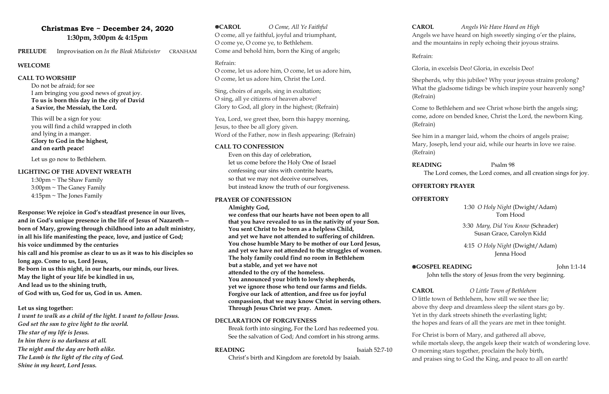# **Christmas Eve ~ December 24, 2020 1:30pm, 3:00pm & 4:15pm**

**PRELUDE** Improvisation on *In the Bleak Midwinter* CRANHAM

### **WELCOME**

### **CALL TO WORSHIP**

Do not be afraid; for see I am bringing you good news of great joy. **To us is born this day in the city of David a Savior, the Messiah, the Lord.**

This will be a sign for you: you will find a child wrapped in cloth and lying in a manger. **Glory to God in the highest, and on earth peace!**

Let us go now to Bethlehem.

### **LIGHTING OF THE ADVENT WREATH**

1:30pm  $\sim$  The Shaw Family  $3:00$ pm ~ The Ganey Family  $4:15$ pm ~ The Jones Family

**Response: We rejoice in God's steadfast presence in our lives, and in God's unique presence in the life of Jesus of Nazareth born of Mary, growing through childhood into an adult ministry, in all his life manifesting the peace, love, and justice of God; his voice undimmed by the centuries his call and his promise as clear to us as it was to his disciples so long ago. Come to us, Lord Jesus, Be born in us this night, in our hearts, our minds, our lives. May the light of your life be kindled in us, And lead us to the shining truth, of God with us, God for us, God in us. Amen.**

### **Let us sing together:**

*I want to walk as a child of the light. I want to follow Jesus. God set the sun to give light to the world. The star of my life is Jesus. In him there is no darkness at all. The night and the day are both alike. The Lamb is the light of the city of God. Shine in my heart, Lord Jesus.*

**CAROL** *O Come, All Ye Faithful*  O come, all ye faithful, joyful and triumphant, O come ye, O come ye, to Bethlehem. Come and behold him, born the King of angels;

### Refrain:

O come, let us adore him, O come, let us adore him, O come, let us adore him, Christ the Lord.

Sing, choirs of angels, sing in exultation; O sing, all ye citizens of heaven above! Glory to God, all glory in the highest; (Refrain)

Yea, Lord, we greet thee, born this happy morning, Jesus, to thee be all glory given. Word of the Father, now in flesh appearing: (Refrain)

### **CALL TO CONFESSION**

Even on this day of celebration, let us come before the Holy One of Israel confessing our sins with contrite hearts, so that we may not deceive ourselves, but instead know the truth of our forgiveness.

### **PRAYER OF CONFESSION**

**Almighty God,**

**we confess that our hearts have not been open to all that you have revealed to us in the nativity of your Son. You sent Christ to be born as a helpless Child, and yet we have not attended to suffering of children. You chose humble Mary to be mother of our Lord Jesus, and yet we have not attended to the struggles of women. The holy family could find no room in Bethlehem but a stable, and yet we have not attended to the cry of the homeless. You announced your birth to lowly shepherds, yet we ignore those who tend our farms and fields. Forgive our lack of attention, and free us for joyful compassion, that we may know Christ in serving others. Through Jesus Christ we pray. Amen.**

### **DECLARATION OF FORGIVENESS**

Break forth into singing, For the Lord has redeemed you. See the salvation of God; And comfort in his strong arms.

### **READING** Isaiah 52:7-10

Christ's birth and Kingdom are foretold by Isaiah.

**CAROL** *Angels We Have Heard on High*  Angels we have heard on high sweetly singing o'er the plains, and the mountains in reply echoing their joyous strains.

Refrain:

Gloria, in excelsis Deo! Gloria, in excelsis Deo!

Shepherds, why this jubilee? Why your joyous strains prolong? What the gladsome tidings be which inspire your heavenly song?

(Refrain)

Come to Bethlehem and see Christ whose birth the angels sing; come, adore on bended knee, Christ the Lord, the newborn King.

(Refrain)

See him in a manger laid, whom the choirs of angels praise; Mary, Joseph, lend your aid, while our hearts in love we raise.

(Refrain)

**READING** Psalm 98

The Lord comes, the Lord comes, and all creation sings for joy.

**OFFERTORY PRAYER**

# **OFFERTORY**

# 1:30 *O Holy Night* (Dwight/Adam) Tom Hood

3:30 *Mary, Did You Know* (Schrader) Susan Grace, Carolyn Kidd

4:15 *O Holy Night* (Dwight/Adam) Jenna Hood

# **EGOSPEL READING** John 1:1-14

John tells the story of Jesus from the very beginning.

**CAROL** *O Little Town of Bethlehem*

O little town of Bethlehem, how still we see thee lie; above thy deep and dreamless sleep the silent stars go by. Yet in thy dark streets shineth the everlasting light; the hopes and fears of all the years are met in thee tonight.

For Christ is born of Mary, and gathered all above, while mortals sleep, the angels keep their watch of wondering love. O morning stars together, proclaim the holy birth, and praises sing to God the King, and peace to all on earth!